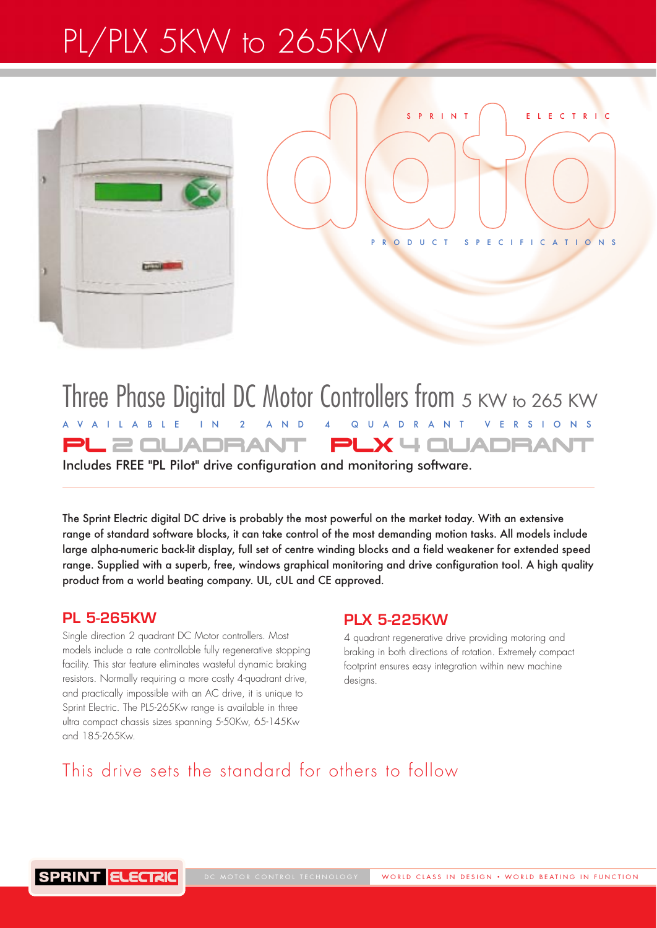# PL/PLX 5KW to 265KW



PRODUCT SPECIFICATIONS

SPRINT | FIFCTRIC

## Three Phase Digital DC Motor Controllers from 5 KW to 265 KW AVAILABLE IN 2 AND 4 QUADRANT VERSIONS PL 2 QUADRANT PLX 4 QUADRAI

Includes FREE "PL Pilot" drive configuration and monitoring software.

The Sprint Electric digital DC drive is probably the most powerful on the market today. With an extensive range of standard software blocks, it can take control of the most demanding motion tasks. All models include large alpha-numeric back-lit display, full set of centre winding blocks and a field weakener for extended speed range. Supplied with a superb, free, windows graphical monitoring and drive configuration tool. A high quality product from a world beating company. UL, cUL and CE approved.

### **PL 5-265KW**

Single direction 2 quadrant DC Motor controllers. Most models include a rate controllable fully regenerative stopping facility. This star feature eliminates wasteful dynamic braking resistors. Normally requiring a more costly 4-quadrant drive, and practically impossible with an AC drive, it is unique to Sprint Electric. The PL5-265Kw range is available in three ultra compact chassis sizes spanning 5-50Kw, 65-145Kw and 185-265Kw.

### **PLX 5-225KW**

4 quadrant regenerative drive providing motoring and braking in both directions of rotation. Extremely compact footprint ensures easy integration within new machine designs.

### This drive sets the standard for others to follow